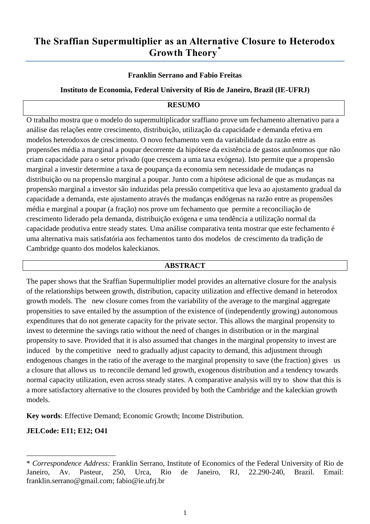# **The Sraffian Supermultiplier as an Alternative Closure to Heterodox Growth Theory***\**

## **Franklin Serrano and Fabio Freitas**

# **Instituto de Economia, Federal University of Rio de Janeiro, Brazil (IE-UFRJ)**

# **RESUMO**

O trabalho mostra que o modelo do supermultiplicador sraffiano prove um fechamento alternativo para a análise das relações entre crescimento, distribuição, utilização da capacidade e demanda efetiva em modelos heterodoxos de crescimento. O novo fechamento vem da variabilidade da razão entre as propensões média a marginal a poupar decorrente da hipótese da existência de gastos autônomos que não criam capacidade para o setor privado (que crescem a uma taxa exógena). Isto permite que a propensão marginal a investir determine a taxa de poupança da economia sem necessidade de mudanças na distribuição ou na propensão marginal a poupar. Junto com a hipótese adicional de que as mudanças na propensão marginal a investor são induzidas pela pressão competitiva que leva ao ajustamento gradual da capacidade a demanda, este ajustamento através the mudanças endógenas na razão entre as propensões média e marginal a poupar (a fração) nos prove um fechamento que permite a reconciliação de crescimento liderado pela demanda, distribuição exógena e uma tendência a utilização normal da capacidade produtiva entre steady states. Uma análise comparativa tenta mostrar que este fechamento é uma alternativa mais satisfatória aos fechamentos tanto dos modelos de crescimento da tradição de Cambridge quanto dos modelos kaleckianos.

## **ABSTRACT**

The paper shows that the Sraffian Supermultiplier model provides an alternative closure for the analysis of the relationships between growth, distribution, capacity utilization and effective demand in heterodox growth models. The new closure comes from the variability of the average to the marginal aggregate propensities to save entailed by the assumption of the existence of (independently growing) autonomous expenditures that do not generate capacity for the private sector. This allows the marginal propensity to invest to determine the savings ratio without the need of changes in distribution or in the marginal propensity to save. Provided that it is also assumed that changes in the marginal propensity to invest are induced by the competitive need to gradually adjust capacity to demand, this adjustment through endogenous changes in the ratio of the average to the marginal propensity to save (the fraction) gives us a closure that allows us to reconcile demand led growth, exogenous distribution and a tendency towards normal capacity utilization, even across steady states. A comparative analysis will try to show that this is a more satisfactory alternative to the closures provided by both the Cambridge and the kaleckian growth models.

**Key words**: Effective Demand; Economic Growth; Income Distribution.

# **JELCode: E11; E12; O41**

<sup>\*</sup> *Correspondence Address:* Franklin Serrano, Institute of Economics of the Federal University of Rio de Janeiro, Av. Pasteur, 250, Urca, Rio de Janeiro, RJ, 22.290-240, Brazil. Email: [franklin.serrano@gmail.com;](mailto:franklin.serrano@gmail.com) fabio@ie.ufrj.br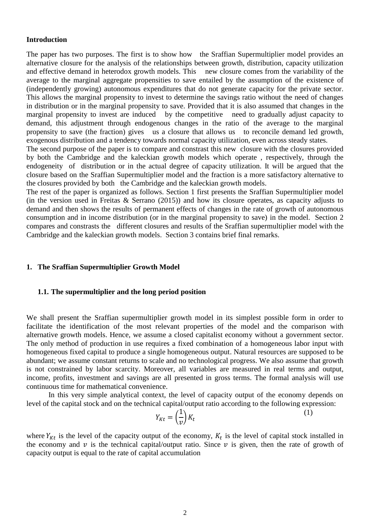## **Introduction**

The paper has two purposes. The first is to show how the Sraffian Supermultiplier model provides an alternative closure for the analysis of the relationships between growth, distribution, capacity utilization and effective demand in heterodox growth models. This new closure comes from the variability of the average to the marginal aggregate propensities to save entailed by the assumption of the existence of (independently growing) autonomous expenditures that do not generate capacity for the private sector. This allows the marginal propensity to invest to determine the savings ratio without the need of changes in distribution or in the marginal propensity to save. Provided that it is also assumed that changes in the marginal propensity to invest are induced by the competitive need to gradually adjust capacity to demand, this adjustment through endogenous changes in the ratio of the average to the marginal propensity to save (the fraction) gives us a closure that allows us to reconcile demand led growth, exogenous distribution and a tendency towards normal capacity utilization, even across steady states.

The second purpose of the paper is to compare and constrast this new closure with the closures provided by both the Cambridge and the kaleckian growth models which operate , respectively, through the endogeneity of distribution or in the actual degree of capacity utilization. It will be argued that the closure based on the Sraffian Supermultiplier model and the fraction is a more satisfactory alternative to the closures provided by both the Cambridge and the kaleckian growth models.

The rest of the paper is organized as follows. Section 1 first presents the Sraffian Supermultiplier model (in the version used in Freitas & Serrano (2015)) and how its closure operates, as capacity adjusts to demand and then shows the results of permanent effects of changes in the rate of growth of autonomous consumption and in income distribution (or in the marginal propensity to save) in the model. Section 2 compares and constrasts the different closures and results of the Sraffian supermultiplier model with the Cambridge and the kaleckian growth models. Section 3 contains brief final remarks.

#### **1. The Sraffian Supermultiplier Growth Model**

### **1.1. The supermultiplier and the long period position**

We shall present the Sraffian supermultiplier growth model in its simplest possible form in order to facilitate the identification of the most relevant properties of the model and the comparison with alternative growth models. Hence, we assume a closed capitalist economy without a government sector. The only method of production in use requires a fixed combination of a homogeneous labor input with homogeneous fixed capital to produce a single homogeneous output. Natural resources are supposed to be abundant; we assume constant returns to scale and no technological progress. We also assume that growth is not constrained by labor scarcity. Moreover, all variables are measured in real terms and output, income, profits, investment and savings are all presented in gross terms. The formal analysis will use continuous time for mathematical convenience.

In this very simple analytical context, the level of capacity output of the economy depends on level of the capital stock and on the technical capital/output ratio according to the following expression:

$$
Y_{Kt} = \left(\frac{1}{v}\right) K_t \tag{1}
$$

where  $Y_{Kt}$  is the level of the capacity output of the economy,  $K_t$  is the level of capital stock installed in the economy and  $\nu$  is the technical capital/output ratio. Since  $\nu$  is given, then the rate of growth of capacity output is equal to the rate of capital accumulation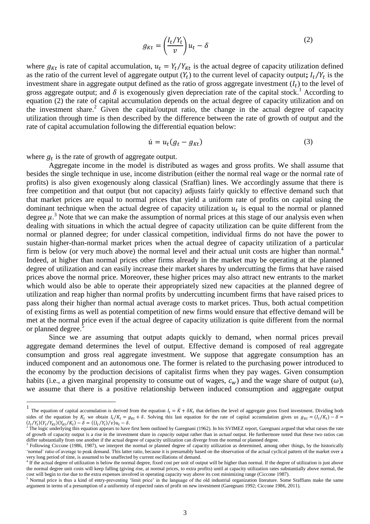$$
g_{Kt} = \left(\frac{I_t/Y_t}{v}\right)u_t - \delta
$$
 (2)

where  $g_{Kt}$  is rate of capital accumulation,  $u_t = Y_t/Y_{Kt}$  is the actual degree of capacity utilization defined as the ratio of the current level of aggregate output  $(Y_t)$  to the current level of capacity output;  $I_t/Y_t$  is the investment share in aggregate output defined as the ratio of gross aggregate investment  $(I_t)$  to the level of gross aggregate output; and  $\delta$  is exogenously given depreciation rate of the capital stock.<sup>1</sup> According to equation (2) the rate of capital accumulation depends on the actual degree of capacity utilization and on the investment share. <sup>2</sup> Given the capital/output ratio, the change in the actual degree of capacity utilization through time is then described by the difference between the rate of growth of output and the rate of capital accumulation following the differential equation below:

$$
\dot{u} = u_t (g_t - g_{Kt}) \tag{3}
$$

where  $g_t$  is the rate of growth of aggregate output.

 $\overline{a}$ 

Aggregate income in the model is distributed as wages and gross profits. We shall assume that besides the single technique in use, income distribution (either the normal real wage or the normal rate of profits) is also given exogenously along classical (Sraffian) lines. We accordingly assume that there is free competition and that output (but not capacity) adjusts fairly quickly to effective demand such that that market prices are equal to normal prices that yield a uniform rate of profits on capital using the dominant technique when the actual degree of capacity utilization  $u_t$  is equal to the normal or planned degree  $\mu$ .<sup>3</sup> Note that we can make the assumption of normal prices at this stage of our analysis even when dealing with situations in which the actual degree of capacity utilization can be quite different from the normal or planned degree; for under classical competition, individual firms do not have the power to sustain higher-than-normal market prices when the actual degree of capacity utilization of a particular firm is below (or very much above) the normal level and their actual unit costs are higher than normal.<sup>4</sup> Indeed, at higher than normal prices other firms already in the market may be operating at the planned degree of utilization and can easily increase their market shares by undercutting the firms that have raised prices above the normal price. Moreover, these higher prices may also attract new entrants to the market which would also be able to operate their appropriately sized new capacities at the planned degree of utilization and reap higher than normal profits by undercutting incumbent firms that have raised prices to pass along their higher than normal actual average costs to market prices. Thus, both actual competition of existing firms as well as potential competition of new firms would ensure that effective demand will be met at the normal price even if the actual degree of capacity utilization is quite different from the normal or planned degree.<sup>5</sup>

Since we are assuming that output adapts quickly to demand, when normal prices prevail aggregate demand determines the level of output. Effective demand is composed of real aggregate consumption and gross real aggregate investment. We suppose that aggregate consumption has an induced component and an autonomous one. The former is related to the purchasing power introduced to the economy by the production decisions of capitalist firms when they pay wages. Given consumption habits (i.e., a given marginal propensity to consume out of wages,  $c_w$ ) and the wage share of output ( $\omega$ ), we assume that there is a positive relationship between induced consumption and aggregate output

<sup>1</sup> The equation of capital accumulation is derived from the equation  $I_t = \dot{K} + \delta K_t$  that defines the level of aggregate gross fixed investment. Dividing both sides of the equation by  $K_t$  we obtain  $I_t/K_t = g_{kt} + \delta$ . Solving this last equation for the rate of capital accumulation gives us  $g_{kt} = (I_t/K_t) - \delta$  $(I_t/Y_t)(Y_t/Y_{Kt})(Y_{Kt}/K_t) - \delta = ((I_t/Y_t)/v)u_t - \delta.$ 

<sup>&</sup>lt;sup>2</sup> The logic underlying this equation appears to have first been outlined by Garegnani (1962). In his SVIMEZ report, Garegnani argued that what raises the rate of growth of capacity output is a rise in the investment share in *capacity* output rather than in *actual* output. He furthermore noted that these two ratios can differ substantially from one another if the actual degree of capacity utilization can diverge from the normal or planned degree.

<sup>&</sup>lt;sup>3</sup> Following Ciccone (1986, 1987), we interpret the normal or planned degree of capacity utilization as determined, among other things, by the historically 'normal' ratio of average to peak demand. This latter ratio, because it is presumably based on the observation of the actual cyclical pattern of the market over a very long period of time, is assumed to be unaffected by current oscillations of demand.

<sup>&</sup>lt;sup>4</sup> If the actual degree of utilization is below the normal degree, fixed cost per unit of output will be higher than normal. If the degree of utilization is just above the normal degree unit costs will keep falling (giving rise, at normal prices, to extra profits) until at capacity utilization rates substantially above normal, the cost will begin to rise due to the extra expenses involved in operating capacity way above its cost minimizing range (Ciccone 1987).

<sup>5</sup> Normal price is thus a kind of entry-preventing 'limit price' in the language of the old industrial organization literature. Some Sraffians make the same argument in terms of a presumption of a uniformity of expected rates of profit on new investment (Garegnani 1992; Ciccone 1986, 2011).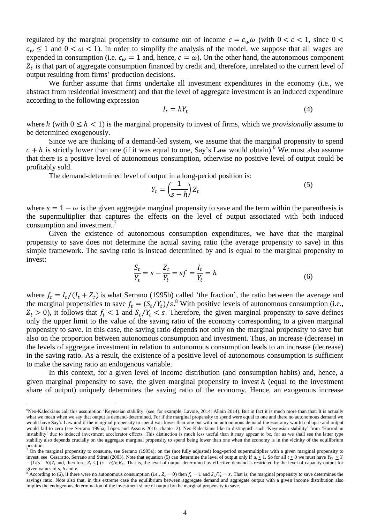regulated by the marginal propensity to consume out of income  $c = c_w \omega$  (with  $0 < c < 1$ , since  $0 <$  $c_w \le 1$  and  $0 < \omega < 1$ ). In order to simplify the analysis of the model, we suppose that all wages are expended in consumption (i.e.  $c_w = 1$  and, hence,  $c = \omega$ ). On the other hand, the autonomous component  $Z_t$  is that part of aggregate consumption financed by credit and, therefore, unrelated to the current level of output resulting from firms' production decisions.

We further assume that firms undertake all investment expenditures in the economy (i.e., we abstract from residential investment) and that the level of aggregate investment is an induced expenditure according to the following expression

$$
I_t = hY_t \tag{4}
$$

where  $h$  (with  $0 \leq h < 1$ ) is the marginal propensity to invest of firms, which we *provisionally* assume to be determined exogenously.

Since we are thinking of a demand-led system, we assume that the marginal propensity to spend  $c + h$  is strictly lower than one (if it was equal to one, Say's Law would obtain). <sup>6</sup> We must also assume that there is a positive level of autonomous consumption, otherwise no positive level of output could be profitably sold.

The demand-determined level of output in a long-period position is:

$$
Y_t = \left(\frac{1}{s-h}\right) Z_t \tag{5}
$$

where  $s = 1 - \omega$  is the given aggregate marginal propensity to save and the term within the parenthesis is the supermultiplier that captures the effects on the level of output associated with both induced consumption and investment.<sup>7</sup>

Given the existence of autonomous consumption expenditures, we have that the marginal propensity to save does not determine the actual saving ratio (the average propensity to save) in this simple framework. The saving ratio is instead determined by and is equal to the marginal propensity to invest:

$$
\frac{S_t}{Y_t} = s - \frac{Z_t}{Y_t} = sf = \frac{I_t}{Y_t} = h
$$
\n<sup>(6)</sup>

where  $f_t = I_t/(I_t + Z_t)$  is what Serrano (1995b) called 'the fraction', the ratio between the average and the marginal propensities to save  $f_t = (S_t/Y_t)/s^8$ . With positive levels of autonomous consumption (i.e.,  $Z_t > 0$ , it follows that  $f_t < 1$  and  $S_t/Y_t < s$ . Therefore, the given marginal propensity to save defines only the upper limit to the value of the saving ratio of the economy corresponding to a given marginal propensity to save. In this case, the saving ratio depends not only on the marginal propensity to save but also on the proportion between autonomous consumption and investment. Thus, an increase (decrease) in the levels of aggregate investment in relation to autonomous consumption leads to an increase (decrease) in the saving ratio. As a result, the existence of a positive level of autonomous consumption is sufficient to make the saving ratio an endogenous variable.

In this context, for a given level of income distribution (and consumption habits) and, hence, a given marginal propensity to save, the given marginal propensity to invest  $h$  (equal to the investment share of output) uniquely determines the saving ratio of the economy. Hence, an exogenous increase

<sup>&</sup>lt;sup>6</sup>Neo-Kaleckians call this assumption 'Keynesian stability' (see, for example, Lavoie, 2014; Allain 2014). But in fact it is much more than that. It is actually what we mean when we say that output is demand-determined. For if the marginal propensity to spend were equal to one and there no autonomous demand we would have Say's Law and if the marginal propensity to spend was lower than one but with no autonomous demand the economy would collapse and output would fall to zero (see Serrano 1995a; López and Assous 2010, chapter 2). Neo-Kaleckians like to distinguish such 'Keynesian stability' from 'Harrodian instability' due to induced investment accelerator effects. This distinction is much less useful than it may appear to be, for as we shall see the latter type stability also depends crucially on the aggregate marginal propensity to spend being lower than one when the economy is in the vicinity of the equilibrium position.

<sup>7</sup> On the marginal propensity to consume, see Serrano (1995a); on the (not fully adjusted) long-period supermultiplier with a given marginal propensity to invest, see Cesaratto, Serrano and Stirati (2003). Note that equation (5) can determine the level of output only if  $u_t < 1$ . So for all  $t > 0$  we must have  $Y_{Kt} > Y_t$ =  $[1/(s-h)]Z_t$  and, therefore,  $Z_t \leq [ (s-h)/v]K_t$ . That is, the level of output determined by effective demand is restricted by the level of capacity output for given values of s, *h* and *v*.

<sup>&</sup>lt;sup>8</sup> According to (6), if there were no autonomous consumption (i.e.,  $Z_t = 0$ ) then  $f_t = 1$  and  $S_t/Y_t = s$ . That is, the marginal propensity to save determines the savings ratio. Note also that, in this extreme case the equilibrium between aggregate demand and aggregate output with a given income distribution also implies the endogenous determination of the investment share of output by the marginal propensity to save.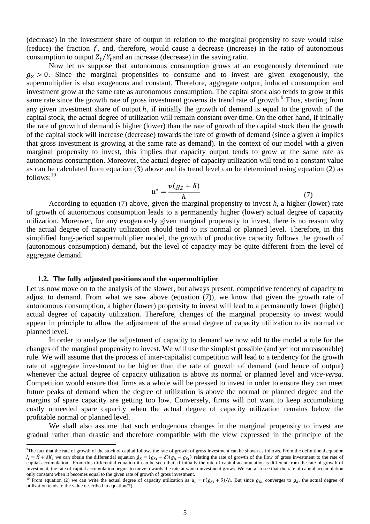(decrease) in the investment share of output in relation to the marginal propensity to save would raise (reduce) the fraction  $f$ , and, therefore, would cause a decrease (increase) in the ratio of autonomous consumption to output  $Z_t/Y_t$  and an increase (decrease) in the saving ratio.

Now let us suppose that autonomous consumption grows at an exogenously determined rate  $g<sub>Z</sub> > 0$ . Since the marginal propensities to consume and to invest are given exogenously, the supermultiplier is also exogenous and constant. Therefore, aggregate output, induced consumption and investment grow at the same rate as autonomous consumption. The capital stock also tends to grow at this same rate since the growth rate of gross investment governs its trend rate of growth.<sup>9</sup> Thus, starting from any given investment share of output  $h$ , if initially the growth of demand is equal to the growth of the capital stock, the actual degree of utilization will remain constant over time. On the other hand, if initially the rate of growth of demand is higher (lower) than the rate of growth of the capital stock then the growth of the capital stock will increase (decrease) towards the rate of growth of demand (since a given *h* implies that gross investment is growing at the same rate as demand). In the context of our model with a given marginal propensity to invest, this implies that capacity output tends to grow at the same rate as autonomous consumption. Moreover, the actual degree of capacity utilization will tend to a constant value as can be calculated from equation (3) above and its trend level can be determined using equation (2) as follows: 10

$$
u^* = \frac{v(g_Z + \delta)}{h} \tag{7}
$$

According to equation (7) above, given the marginal propensity to invest *h*, a higher (lower) rate of growth of autonomous consumption leads to a permanently higher (lower) actual degree of capacity utilization. Moreover, for any exogenously given marginal propensity to invest, there is no reason why the actual degree of capacity utilization should tend to its normal or planned level. Therefore, in this simplified long-period supermultiplier model, the growth of productive capacity follows the growth of (autonomous consumption) demand, but the level of capacity may be quite different from the level of aggregate demand.

#### **1.2. The fully adjusted positions and the supermultiplier**

 $\overline{a}$ 

Let us now move on to the analysis of the slower, but always present, competitive tendency of capacity to adjust to demand. From what we saw above (equation (7)), we know that given the growth rate of autonomous consumption, a higher (lower) propensity to invest will lead to a permanently lower (higher) actual degree of capacity utilization. Therefore, changes of the marginal propensity to invest would appear in principle to allow the adjustment of the actual degree of capacity utilization to its normal or planned level.

In order to analyze the adjustment of capacity to demand we now add to the model a rule for the changes of the marginal propensity to invest. We will use the simplest possible (and yet not unreasonable) rule. We will assume that the process of inter-capitalist competition will lead to a tendency for the growth rate of aggregate investment to be higher than the rate of growth of demand (and hence of output) whenever the actual degree of capacity utilization is above its normal or planned level and *vice-versa*. Competition would ensure that firms as a whole will be pressed to invest in order to ensure they can meet future peaks of demand when the degree of utilization is above the normal or planned degree and the margins of spare capacity are getting too low. Conversely, firms will not want to keep accumulating costly unneeded spare capacity when the actual degree of capacity utilization remains below the profitable normal or planned level.

We shall also assume that such endogenous changes in the marginal propensity to invest are gradual rather than drastic and therefore compatible with the view expressed in the principle of the

<sup>9</sup>The fact that the rate of growth of the stock of capital follows the rate of growth of gross investment can be shown as follows. From the definitional equation  $I_t = \dot{K} + \delta K_t$  we can obtain the differential equation  $\dot{g}_K = (g_{Kt} + \delta)(g_{It} - g_{Kt})$  relating the rate of growth of the flow of gross investment to the rate of capital accumulation. From this differential equation it can be seen that, if initially the rate of capital accumulation is different from the rate of growth of investment, the rate of capital accumulation begins to move towards the rate at which investment grows. We can also see that the rate of capital accumulation only constant when it becomes equal to the given rate of growth of gross investment.

<sup>&</sup>lt;sup>10</sup> From equation (2) we can write the actual degree of capacity utilization as  $u_t = v(g_{kt} + \delta)/h$ . But since  $g_{kt}$  converges to  $g_z$ , the actual degree of utilization tends to the value described in equation(7).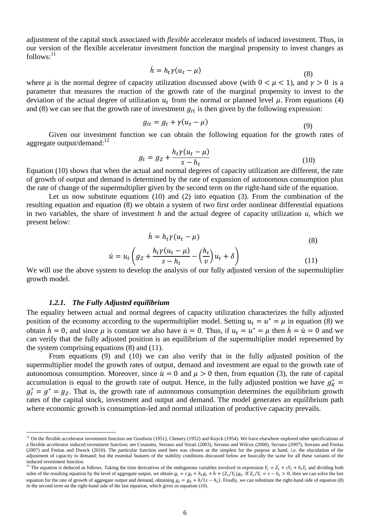adjustment of the capital stock associated with *flexible* accelerator models of induced investment. Thus, in our version of the flexible accelerator investment function the marginal propensity to invest changes as follows: 11

$$
\dot{h} = h_t \gamma (u_t - \mu) \tag{8}
$$

where  $\mu$  is the normal degree of capacity utilization discussed above (with  $0 < \mu < 1$ ), and  $\gamma > 0$  is a parameter that measures the reaction of the growth rate of the marginal propensity to invest to the deviation of the actual degree of utilization  $u_t$  from the normal or planned level  $\mu$ . From equations (4) and (8) we can see that the growth rate of investment  $g_{It}$  is then given by the following expression:

$$
g_{lt} = g_t + \gamma (u_t - \mu) \tag{9}
$$

Given our investment function we can obtain the following equation for the growth rates of aggregate output/demand:<sup>12</sup>

$$
g_t = g_z + \frac{h_t \gamma (u_t - \mu)}{s - h_t} \tag{10}
$$

Equation (10) shows that when the actual and normal degrees of capacity utilization are different, the rate of growth of output and demand is determined by the rate of expansion of autonomous consumption plus the rate of change of the supermultiplier given by the second term on the right-hand side of the equation.

Let us now substitute equations (10) and (2) into equation (3). From the combination of the resulting equation and equation (8) we obtain a system of two first order nonlinear differential equations in two variables, the share of investment  $h$  and the actual degree of capacity utilization  $u$ , which we present below:

$$
\dot{h} = h_t \gamma (u_t - \mu) \tag{8}
$$

$$
\dot{u} = u_t \left( g_Z + \frac{h_t \gamma (u_t - \mu)}{s - h_t} - \left( \frac{h_t}{v} \right) u_t + \delta \right) \tag{11}
$$

We will use the above system to develop the analysis of our fully adjusted version of the supermultiplier growth model.

## *1.2.1. The Fully Adjusted equilibrium*

 $\overline{a}$ 

The equality between actual and normal degrees of capacity utilization characterizes the fully adjusted position of the economy according to the supermultiplier model. Setting  $u_t = u^* = \mu$  in equation (8) we obtain  $\dot{h} = 0$ , and since  $\mu$  is constant we also have  $\dot{u} = 0$ . Thus, if  $u_t = u^* = \mu$  then  $\dot{h} = \dot{u} = 0$  and we can verify that the fully adjusted position is an equilibrium of the supermultiplier model represented by the system comprising equations (8) and (11).

From equations (9) and (10) we can also verify that in the fully adjusted position of the supermultiplier model the growth rates of output, demand and investment are equal to the growth rate of autonomous consumption. Moreover, since  $\dot{u} = 0$  and  $\mu > 0$  then, from equation (3), the rate of capital accumulation is equal to the growth rate of output. Hence, in the fully adjusted position we have  $g_K^*$  =  $g_l^* = g^* = g_z$ . That is, the growth rate of autonomous consumption determines the equilibrium growth rates of the capital stock, investment and output and demand. The model generates an equilibrium path where economic growth is consumption-led and normal utilization of productive capacity prevails.

 $11$  On the flexible accelerator investment function see Goodwin (1951), Chenery (1952) and Koyck (1954). We have elsewhere explored other specifications of a flexible accelerator induced investment function; see Cesaratto, Serrano and Stirati (2003), Serrano and Wilcox (2000), Serrano (2007), Serrano and Freitas (2007) and Freitas and Dweck (2010). The particular function used here was chosen as the simplest for the purpose at hand, i.e. the elucidation of the adjustment of capacity to demand; but the essential features of the stability conditions discussed below are basically the same for all these variants of the induced investment function.

<sup>&</sup>lt;sup>12</sup> The equation is deduced as follows. Taking the time derivatives of the endogenous variables involved in expression  $Y_t = Z_t + cY_t + h_tY_t$  and dividing both sides of the resulting equation by the level of aggregate output, we obtain  $g_t = cg_t + h_t g_t + h + (Z_t/Y_t)g_t$ . If  $Z_t/Y_t = s - h_t > 0$ , then we can solve the last equation for the rate of growth of aggregate output and demand, obtaining  $g_t = g_t + h/(s - h_t)$ . Finally, we can substitute the right-hand side of equation (8) in the second term on the right-hand side of the last equation, which gives us equation (10).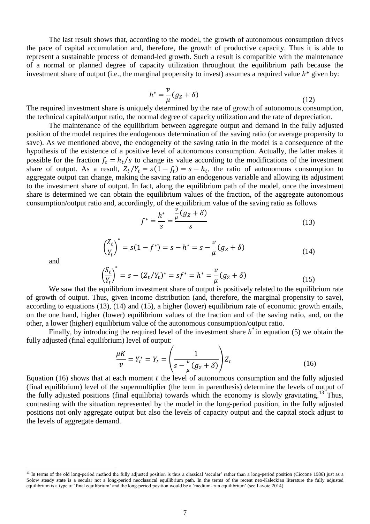The last result shows that, according to the model, the growth of autonomous consumption drives the pace of capital accumulation and, therefore, the growth of productive capacity. Thus it is able to represent a sustainable process of demand-led growth. Such a result is compatible with the maintenance of a normal or planned degree of capacity utilization throughout the equilibrium path because the investment share of output (i.e., the marginal propensity to invest) assumes a required value  $h^*$  given by:

$$
h^* = \frac{\nu}{\mu}(g_Z + \delta) \tag{12}
$$

The required investment share is uniquely determined by the rate of growth of autonomous consumption, the technical capital/output ratio, the normal degree of capacity utilization and the rate of depreciation.

The maintenance of the equilibrium between aggregate output and demand in the fully adjusted position of the model requires the endogenous determination of the saving ratio (or average propensity to save). As we mentioned above, the endogeneity of the saving ratio in the model is a consequence of the hypothesis of the existence of a positive level of autonomous consumption. Actually, the latter makes it possible for the fraction  $f_t = h_t/s$  to change its value according to the modifications of the investment share of output. As a result,  $Z_t/Y_t = s(1 - f_t) = s - h_t$ , the ratio of autonomous consumption to aggregate output can change, making the saving ratio an endogenous variable and allowing its adjustment to the investment share of output. In fact, along the equilibrium path of the model, once the investment share is determined we can obtain the equilibrium values of the fraction, of the aggregate autonomous consumption/output ratio and, accordingly, of the equilibrium value of the saving ratio as follows

$$
f^* = \frac{h^*}{s} = \frac{\frac{v}{\mu}(g_Z + \delta)}{s} \tag{13}
$$

$$
\left(\frac{Z_t}{Y_t}\right)^* = s(1 - f^*) = s - h^* = s - \frac{\nu}{\mu}(g_Z + \delta)
$$
\n(14)

and

 $\overline{a}$ 

$$
\left(\frac{S_t}{Y_t}\right)^* = s - (Z_t/Y_t)^* = sf^* = h^* = \frac{\nu}{\mu}(g_Z + \delta)
$$
\n(15)

We saw that the equilibrium investment share of output is positively related to the equilibrium rate of growth of output. Thus, given income distribution (and, therefore, the marginal propensity to save), according to equations (13), (14) and (15), a higher (lower) equilibrium rate of economic growth entails, on the one hand, higher (lower) equilibrium values of the fraction and of the saving ratio, and, on the other, a lower (higher) equilibrium value of the autonomous consumption/output ratio.

Finally, by introducing the required level of the investment share *h \** in equation (5) we obtain the fully adjusted (final equilibrium) level of output:

$$
\frac{\mu K}{\nu} = Y_t^* = Y_t = \left(\frac{1}{s - \frac{\nu}{\mu}(g_Z + \delta)}\right) Z_t \tag{16}
$$

Equation (16) shows that at each moment  $t$  the level of autonomous consumption and the fully adjusted (final equilibrium) level of the supermultiplier (the term in parenthesis) determine the levels of output of the fully adjusted positions (final equilibria) towards which the economy is slowly gravitating.<sup>13</sup> Thus, contrasting with the situation represented by the model in the long-period position, in the fully adjusted positions not only aggregate output but also the levels of capacity output and the capital stock adjust to the levels of aggregate demand.

<sup>&</sup>lt;sup>13</sup> In terms of the old long-period method the fully adjusted position is thus a classical 'secular' rather than a long-period position (Ciccone 1986) just as a Solow steady state is a secular not a long-period neoclassical equilibrium path. In the terms of the recent neo-Kaleckian literature the fully adjusted equilibrium is a type of 'final equilibrium' and the long-period position would be a 'medium- run equilibrium' (see Lavoie 2014).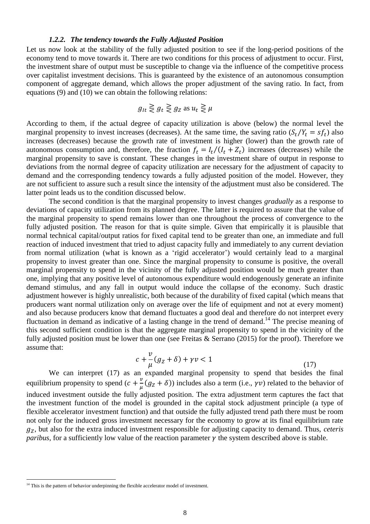#### *1.2.2. The tendency towards the Fully Adjusted Position*

Let us now look at the stability of the fully adjusted position to see if the long-period positions of the economy tend to move towards it. There are two conditions for this process of adjustment to occur. First, the investment share of output must be susceptible to change via the influence of the competitive process over capitalist investment decisions. This is guaranteed by the existence of an autonomous consumption component of aggregate demand, which allows the proper adjustment of the saving ratio. In fact, from equations (9) and (10) we can obtain the following relations:

$$
g_{It} \gtrless g_t \gtrless g_z \text{ as } u_t \gtrless \mu
$$

According to them, if the actual degree of capacity utilization is above (below) the normal level the marginal propensity to invest increases (decreases). At the same time, the saving ratio  $(S_t/Y_t = sf_t)$  also increases (decreases) because the growth rate of investment is higher (lower) than the growth rate of autonomous consumption and, therefore, the fraction  $f_t = I_t/(I_t + Z_t)$  increases (decreases) while the marginal propensity to save is constant. These changes in the investment share of output in response to deviations from the normal degree of capacity utilization are necessary for the adjustment of capacity to demand and the corresponding tendency towards a fully adjusted position of the model. However, they are not sufficient to assure such a result since the intensity of the adjustment must also be considered. The latter point leads us to the condition discussed below.

The second condition is that the marginal propensity to invest changes *gradually* as a response to deviations of capacity utilization from its planned degree. The latter is required to assure that the value of the marginal propensity to spend remains lower than one throughout the process of convergence to the fully adjusted position. The reason for that is quite simple. Given that empirically it is plausible that normal technical capital/output ratios for fixed capital tend to be greater than one, an immediate and full reaction of induced investment that tried to adjust capacity fully and immediately to any current deviation from normal utilization (what is known as a 'rigid accelerator') would certainly lead to a marginal propensity to invest greater than one. Since the marginal propensity to consume is positive, the overall marginal propensity to spend in the vicinity of the fully adjusted position would be much greater than one, implying that any positive level of autonomous expenditure would endogenously generate an infinite demand stimulus, and any fall in output would induce the collapse of the economy. Such drastic adjustment however is highly unrealistic, both because of the durability of fixed capital (which means that producers want normal utilization only on average over the life of equipment and not at every moment) and also because producers know that demand fluctuates a good deal and therefore do not interpret every fluctuation in demand as indicative of a lasting change in the trend of demand.<sup>14</sup> The precise meaning of this second sufficient condition is that the aggregate marginal propensity to spend in the vicinity of the fully adjusted position must be lower than one (see Freitas & Serrano (2015) for the proof). Therefore we assume that:

$$
c + \frac{\nu}{\mu}(g_Z + \delta) + \gamma \nu < 1\tag{17}
$$

We can interpret (17) as an expanded marginal propensity to spend that besides the final equilibrium propensity to spend  $(c + \frac{v}{a})$  $\frac{\partial}{\partial \mu}(g_z + \delta)$ ) includes also a term (i.e.,  $\gamma \nu$ ) related to the behavior of induced investment outside the fully adjusted position. The extra adjustment term captures the fact that the investment function of the model is grounded in the capital stock adjustment principle (a type of flexible accelerator investment function) and that outside the fully adjusted trend path there must be room not only for the induced gross investment necessary for the economy to grow at its final equilibrium rate , but also for the extra induced investment responsible for adjusting capacity to demand. Thus, *ceteris paribus*, for a sufficiently low value of the reaction parameter  $\gamma$  the system described above is stable.

 $14$  This is the pattern of behavior underpinning the flexible accelerator model of investment.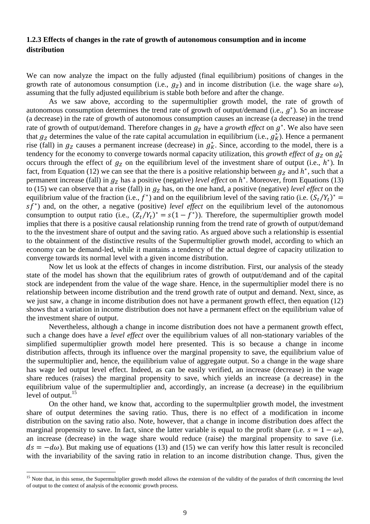# **1.2.3 Effects of changes in the rate of growth of autonomous consumption and in income distribution**

We can now analyze the impact on the fully adjusted (final equilibrium) positions of changes in the growth rate of autonomous consumption (i.e.,  $g_z$ ) and in income distribution (i.e. the wage share  $\omega$ ), assuming that the fully adjusted equilibrium is stable both before and after the change.

As we saw above, according to the supermultiplier growth model, the rate of growth of autonomous consumption determines the trend rate of growth of output/demand (i.e.,  $g^*$ ). So an increase (a decrease) in the rate of growth of autonomous consumption causes an increase (a decrease) in the trend rate of growth of output/demand. Therefore changes in  $g_z$  have a *growth effect* on  $g^*$ . We also have seen that  $g_z$  determines the value of the rate capital accumulation in equilibrium (i.e.,  $g_K^*$ ). Hence a permanent rise (fall) in  $g_z$  causes a permanent increase (decrease) in  $g_K^*$ . Since, according to the model, there is a tendency for the economy to converge towards normal capacity utilization, this *growth effect* of  $g<sub>Z</sub>$  on  $g<sub>K</sub>^*$ occurs through the effect of  $g<sub>Z</sub>$  on the equilibrium level of the investment share of output (i.e.,  $h<sup>*</sup>$ ). In fact, from Equation (12) we can see that the there is a positive relationship between  $g<sub>Z</sub>$  and  $h<sup>*</sup>$ , such that a permanent increase (fall) in  $g<sub>Z</sub>$  has a positive (negative) *level effect* on  $h^*$ . Moreover, from Equations (13) to (15) we can observe that a rise (fall) in  $g<sub>Z</sub>$  has, on the one hand, a positive (negative) *level effect* on the equilibrium value of the fraction (i.e.,  $f^*$ ) and on the equilibrium level of the saving ratio (i.e.  $(S_t/Y_t)^*$  = sf<sup>\*</sup>) and, on the other, a negative (positive) *level effect* on the equilibrium level of the autonomous consumption to output ratio (i.e.,  $(Z_t/Y_t)^* = s(1 - f^*)$ ). Therefore, the supermultiplier growth model implies that there is a positive causal relationship running from the trend rate of growth of output/demand to the the investment share of output and the saving ratio. As argued above such a relationship is essential to the obtainment of the distinctive results of the Supermultiplier growth model, according to which an economy can be demand-led, while it mantains a tendency of the actual degree of capacity utilization to converge towards its normal level with a given income distribution.

Now let us look at the effects of changes in income distribution. First, our analysis of the steady state of the model has shown that the equilibrium rates of growth of output/demand and of the capital stock are independent from the value of the wage share. Hence, in the supermultiplier model there is no relationship between income distribution and the trend growth rate of output and demand. Next, since, as we just saw, a change in income distribution does not have a permanent growth effect, then equation (12) shows that a variation in income distribution does not have a permanent effect on the equilibrium value of the investment share of output.

Nevertheless, although a change in income distribution does not have a permanent growth effect, such a change does have a *level effect* over the equilibrium values of all non-stationary variables of the simplified supermultiplier growth model here presented. This is so because a change in income distribution affects, through its influence over the marginal propensity to save, the equilibrium value of the supermultiplier and, hence, the equilibrium value of aggregate output. So a change in the wage share has wage led output level effect. Indeed, as can be easily verified, an increase (decrease) in the wage share reduces (raises) the marginal propensity to save, which yields an increase (a decrease) in the equilibrium value of the supermultiplier and, accordingly, an increase (a decrease) in the equilibrium level of output.<sup>15</sup>

On the other hand, we know that, according to the supermultplier growth model, the investment share of output determines the saving ratio. Thus, there is no effect of a modification in income distribution on the saving ratio also. Note, however, that a change in income distribution does affect the marginal propensity to save. In fact, since the latter variable is equal to the profit share (i.e.  $s = 1 - \omega$ ), an increase (decrease) in the wage share would reduce (raise) the marginal propensity to save (i.e.  $ds = -d\omega$ ). But making use of equations (13) and (15) we can verify how this latter result is reconciled with the invariability of the saving ratio in relation to an income distribution change. Thus, given the

<sup>&</sup>lt;sup>15</sup> Note that, in this sense, the Supermultiplier growth model allows the extension of the validity of the paradox of thrift concerning the level of output to the context of analysis of the economic growth process.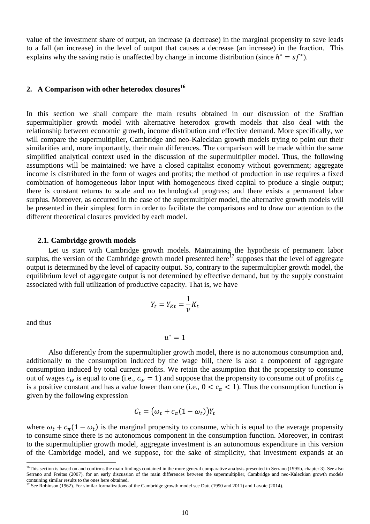value of the investment share of output, an increase (a decrease) in the marginal propensity to save leads to a fall (an increase) in the level of output that causes a decrease (an increase) in the fraction. This explains why the saving ratio is unaffected by change in income distribution (since  $h^* = sf^*$ ).

# **2. A Comparison with other heterodox closures<sup>16</sup>**

In this section we shall compare the main results obtained in our discussion of the Sraffian supermultiplier growth model with alternative heterodox growth models that also deal with the relationship between economic growth, income distribution and effective demand. More specifically, we will compare the supermultiplier, Cambridge and neo-Kaleckian growth models trying to point out their similarities and, more importantly, their main differences. The comparison will be made within the same simplified analytical context used in the discussion of the supermultiplier model. Thus, the following assumptions will be maintained: we have a closed capitalist economy without government; aggregate income is distributed in the form of wages and profits; the method of production in use requires a fixed combination of homogeneous labor input with homogeneous fixed capital to produce a single output; there is constant returns to scale and no technological progress; and there exists a permanent labor surplus. Moreover, as occurred in the case of the supermultipier model, the alternative growth models will be presented in their simplest form in order to facilitate the comparisons and to draw our attention to the different theoretical closures provided by each model.

#### **2.1. Cambridge growth models**

Let us start with Cambridge growth models. Maintaining the hypothesis of permanent labor surplus, the version of the Cambridge growth model presented here<sup>17</sup> supposes that the level of aggregate output is determined by the level of capacity output. So, contrary to the supermultiplier growth model, the equilibrium level of aggregate output is not determined by effective demand, but by the supply constraint associated with full utilization of productive capacity. That is, we have

$$
Y_t = Y_{Kt} = \frac{1}{\nu} K_t
$$

and thus

 $\overline{a}$ 

 $u^* = 1$ 

Also differently from the supermultiplier growth model, there is no autonomous consumption and, additionally to the consumption induced by the wage bill, there is also a component of aggregate consumption induced by total current profits. We retain the assumption that the propensity to consume out of wages  $c_w$  is equal to one (i.e.,  $c_w = 1$ ) and suppose that the propensity to consume out of profits  $c_\pi$ is a positive constant and has a value lower than one (i.e.,  $0 < c_{\pi} < 1$ ). Thus the consumption function is given by the following expression

$$
C_t = (\omega_t + c_\pi (1 - \omega_t)) Y_t
$$

where  $\omega_t + c_\pi (1 - \omega_t)$  is the marginal propensity to consume, which is equal to the average propensity to consume since there is no autonomous component in the consumption function. Moreover, in contrast to the supermultiplier growth model, aggregate investment is an autonomous expenditure in this version of the Cambridge model, and we suppose, for the sake of simplicity, that investment expands at an

 $16$ This section is based on and confirms the main findings contained in the more general comparative analysis presented in Serrano (1995b, chapter 3). See also Serrano and Freitas (2007), for an early discussion of the main differences between the supermultiplier, Cambridge and neo-Kaleckian growth models containing similar results to the ones here obtained.

 $\overline{1}$  See Robinson (1962). For similar formalizations of the Cambridge growth model see Dutt (1990 and 2011) and Lavoie (2014).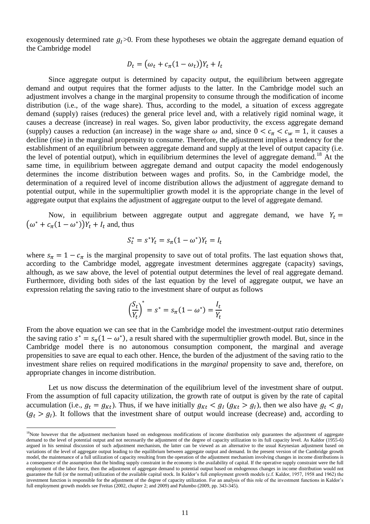exogenously determined rate  $g<sub>I</sub>$  >0. From these hypotheses we obtain the aggregate demand equation of the Cambridge model

$$
D_t = (\omega_t + c_\pi (1 - \omega_t)) Y_t + I_t
$$

Since aggregate output is determined by capacity output, the equilibrium between aggregate demand and output requires that the former adjusts to the latter. In the Cambridge model such an adjustment involves a change in the marginal propensity to consume through the modification of income distribution (i.e., of the wage share). Thus, according to the model, a situation of excess aggregate demand (supply) raises (reduces) the general price level and, with a relatively rigid nominal wage, it causes a decrease (increase) in real wages. So, given labor productivity, the excess aggregate demand (supply) causes a reduction (an increase) in the wage share  $\omega$  and, since  $0 < c_{\pi} < c_{w} = 1$ , it causes a decline (rise) in the marginal propensity to consume. Therefore, the adjustment implies a tendency for the establishment of an equilibrium between aggregate demand and supply at the level of output capacity (i.e. the level of potential output), which in equilibrium determines the level of aggregate demand.<sup>18</sup> At the same time, in equilibrium between aggregate demand and output capacity the model endogenously determines the income distribution between wages and profits. So, in the Cambridge model, the determination of a required level of income distribution allows the adjustment of aggregate demand to potential output, while in the supermultiplier growth model it is the appropriate change in the level of aggregate output that explains the adjustment of aggregate output to the level of aggregate demand.

Now, in equilibrium between aggregate output and aggregate demand, we have  $Y_t =$  $(\omega^* + c_\pi (1 - \omega^*)) Y_t + I_t$  and, thus

$$
S_t^* = s^* Y_t = s_{\pi} (1 - \omega^*) Y_t = I_t
$$

where  $s_{\pi} = 1 - c_{\pi}$  is the marginal propensity to save out of total profits. The last equation shows that, according to the Cambridge model, aggregate investment determines aggregate (capacity) savings, although, as we saw above, the level of potential output determines the level of real aggregate demand. Furthermore, dividing both sides of the last equation by the level of aggregate output, we have an expression relating the saving ratio to the investment share of output as follows

$$
\left(\frac{S_t}{Y_t}\right)^* = s^* = s_{\pi}(1 - \omega^*) = \frac{I_t}{Y_t}
$$

From the above equation we can see that in the Cambridge model the investment-output ratio determines the saving ratio  $s^* = s_{\pi}(1 - \omega^*)$ , a result shared with the supermultiplier growth model. But, since in the Cambridge model there is no autonomous consumption component, the marginal and average propensities to save are equal to each other. Hence, the burden of the adjustment of the saving ratio to the investment share relies on required modifications in the *marginal* propensity to save and, therefore, on appropriate changes in income distribution.

Let us now discuss the determination of the equilibrium level of the investment share of output. From the assumption of full capacity utilization, the growth rate of output is given by the rate of capital accumulation (i.e.,  $g_t = g_{Kt}$ ). Thus, if we have initially  $g_{Kt} < g_t (g_{Kt} > g_t)$ , then we also have  $g_t < g_t$  $(g_t > g_t)$ . It follows that the investment share of output would increase (decrease) and, according to

<sup>&</sup>lt;sup>18</sup>Note however that the adjustment mechanism based on endogenous modifications of income distribution only guarantees the adjustment of aggregate demand to the level of potential output and not necessarily the adjustment of the degree of capacity utilization to its full capacity level. As Kaldor (1955-6) argued in his seminal discussion of such adjustment mechanism, the latter can be viewed as an alternative to the usual Keynesian adjustment based on variations of the level of aggregate output leading to the equilibrium between aggregate output and demand. In the present version of the Cambridge growth model, the maintenance of a full utilization of capacity resulting from the operation of the adjustment mechanism involving changes in income distributions is a consequence of the assumption that the binding supply constraint in the economy is the availability of capital. If the operative supply constraint were the full employment of the labor force, then the adjustment of aggregate demand to potential output based on endogenous changes in income distribution would not guarantee the full (or the normal) utilization of the available capital stock. In Kaldor's full employment growth models (c.f. Kaldor, 1957, 1958 and 1962) the investment function is responsible for the adjustment of the degree of capacity utilization. For an analysis of this role of the investment functions in Kaldor's full employment growth models see Freitas (2002, chapter 2; and 2009) and Palumbo (2009, pp. 343-345).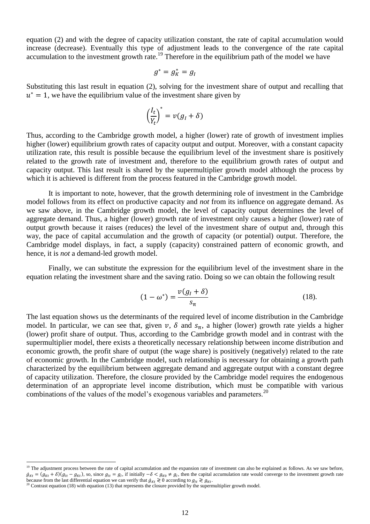equation (2) and with the degree of capacity utilization constant, the rate of capital accumulation would increase (decrease). Eventually this type of adjustment leads to the convergence of the rate capital accumulation to the investment growth rate.<sup>19</sup> Therefore in the equilibrium path of the model we have

$$
g^*=g_K^*=g_I
$$

Substituting this last result in equation (2), solving for the investment share of output and recalling that  $u^* = 1$ , we have the equilibrium value of the investment share given by

$$
\left(\frac{I_t}{Y_t}\right)^* = \nu(g_I + \delta)
$$

Thus, according to the Cambridge growth model, a higher (lower) rate of growth of investment implies higher (lower) equilibrium growth rates of capacity output and output. Moreover, with a constant capacity utilization rate, this result is possible because the equilibrium level of the investment share is positively related to the growth rate of investment and, therefore to the equilibrium growth rates of output and capacity output. This last result is shared by the supermultiplier growth model although the process by which it is achieved is different from the process featured in the Cambridge growth model.

It is important to note, however, that the growth determining role of investment in the Cambridge model follows from its effect on productive capacity and *not* from its influence on aggregate demand. As we saw above, in the Cambridge growth model, the level of capacity output determines the level of aggregate demand. Thus, a higher (lower) growth rate of investment only causes a higher (lower) rate of output growth because it raises (reduces) the level of the investment share of output and, through this way, the pace of capital accumulation and the growth of capacity (or potential) output. Therefore, the Cambridge model displays, in fact, a supply (capacity) constrained pattern of economic growth, and hence, it is *not* a demand-led growth model.

Finally, we can substitute the expression for the equilibrium level of the investment share in the equation relating the investment share and the saving ratio. Doing so we can obtain the following result

$$
(1 - \omega^*) = \frac{\nu(g_I + \delta)}{s_\pi} \tag{18}
$$

The last equation shows us the determinants of the required level of income distribution in the Cambridge model. In particular, we can see that, given  $v$ ,  $\delta$  and  $s_{\pi}$ , a higher (lower) growth rate yields a higher (lower) profit share of output. Thus, according to the Cambridge growth model and in contrast with the supermultiplier model, there exists a theoretically necessary relationship between income distribution and economic growth, the profit share of output (the wage share) is positively (negatively) related to the rate of economic growth. In the Cambridge model, such relationship is necessary for obtaining a growth path characterized by the equilibrium between aggregate demand and aggregate output with a constant degree of capacity utilization. Therefore, the closure provided by the Cambridge model requires the endogenous determination of an appropriate level income distribution, which must be compatible with various combinations of the values of the model's exogenous variables and parameters.<sup>20</sup>

<sup>&</sup>lt;sup>19</sup> The adjustment process between the rate of capital accumulation and the expansion rate of investment can also be explained as follows. As we saw before,  $\dot{g}_{kt} = (g_{kt} + \delta)(g_{lt} - g_{kt})$ , so, since  $g_{lt} = g_t$ , if initially  $-\delta < g_{K0} \neq g_t$ , then the capital accumulation rate would converge to the investment growth rate because from the last differential equation we can verify that  $g_{Kt} \ge 0$  according to  $g_{It} \ge g_{Kt}$ .

<sup>&</sup>lt;sup>20</sup> Contrast equation (18) with equation (13) that represents the closure provided by the supermultiplier growth model.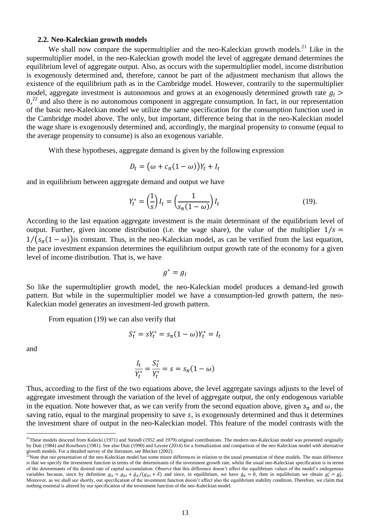### **2.2. Neo-Kaleckian growth models**

We shall now compare the supermultiplier and the neo-Kaleckian growth models.<sup>21</sup> Like in the supermultiplier model, in the neo-Kaleckian growth model the level of aggregate demand determines the equilibrium level of aggregate output. Also, as occurs with the supermultiplier model, income distribution is exogenously determined and, therefore, cannot be part of the adjustment mechanism that allows the existence of the equilibrium path as in the Cambridge model. However, contrarily to the supermultiplier model, aggregate investment is autonomous and grows at an exogenously determined growth rate  $q_l$ 0,<sup>22</sup> and also there is no autonomous component in aggregate consumption. In fact, in our representation of the basic neo-Kaleckian model we utilize the same specification for the consumption function used in the Cambridge model above. The only, but important, difference being that in the neo-Kaleckian model the wage share is exogenously determined and, accordingly, the marginal propensity to consume (equal to the average propensity to consume) is also an exogenous variable.

With these hypotheses, aggregate demand is given by the following expression

$$
D_t = (\omega + c_\pi (1 - \omega)) Y_t + I_t
$$

and in equilibrium between aggregate demand and output we have

$$
Y_t^* = \left(\frac{1}{s}\right)I_t = \left(\frac{1}{s_\pi(1-\omega)}\right)I_t
$$
\n(19).

According to the last equation aggregate investment is the main determinant of the equilibrium level of output. Further, given income distribution (i.e. the wage share), the value of the multiplier  $1/s =$  $1/(s<sub>\pi</sub>(1-\omega))$  is constant. Thus, in the neo-Kaleckian model, as can be verified from the last equation, the pace investment expansion determines the equilibrium output growth rate of the economy for a given level of income distribution. That is, we have

$$
g^*=g_I
$$

So like the supermultiplier growth model, the neo-Kaleckian model produces a demand-led growth pattern. But while in the supermultiplier model we have a consumption-led growth pattern, the neo-Kaleckian model generates an investment-led growth pattern.

From equation (19) we can also verify that

$$
S_t^* = sY_t^* = s_{\pi}(1 - \omega)Y_t^* = I_t
$$

and

 $\overline{a}$ 

$$
\frac{I_t}{Y_t^*} = \frac{S_t^*}{Y_t^*} = s = s_{\pi}(1 - \omega)
$$

Thus, according to the first of the two equations above, the level aggregate savings adjusts to the level of aggregate investment through the variation of the level of aggregate output, the only endogenous variable in the equation. Note however that, as we can verify from the second equation above, given  $s_{\pi}$  and  $\omega$ , the saving ratio, equal to the marginal propensity to save s, is exogenously determined and thus it determines the investment share of output in the neo-Kaleckian model. This feature of the model contrasts with the

 $^{21}$ These models descend from Kalecki (1971) and Steindl (1952 and 1979) original contributions. The modern neo-Kaleckian model was presented originally by Dutt (1984) and Rowthorn (1981). See also Dutt (1990) and Lavoie (2014) for a formalization and comparison of the neo Kaleckian model with alternative growth models. For a detailed survey of the literature, see Blecker (2002).

 $22$ Note that our presentation of the neo-Kaleckian model has some minor differences in relation to the usual presentation of these models. The main difference is that we specify the investment function in terms of the determinants of the investment growth rate, whilst the usual neo-Kaleckian specification is in terms of the determinants of the desired rate of capital accumulation. Observe that this difference doesn't affect the equilibrium values of the model's endogenous variables because, since by definition  $g_{tt} = g_{kt} + \dot{g}_{k}/(g_{kt} + \delta)$  and since, in equilibrium, we have  $\dot{g}_{k} = 0$ , then in equilibrium we obtain  $g_{t}^{*} = g_{k}^{*}$ . Moreover, as we shall see shortly, our specification of the investment function doesn't affect also the equilibrium stability condition. Therefore, we claim that nothing essential is altered by our specification of the investment function of the neo-Kaleckian model.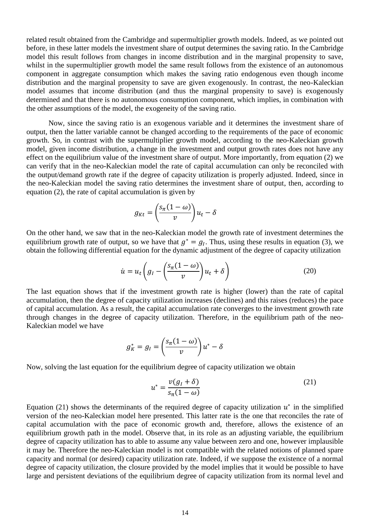related result obtained from the Cambridge and supermultiplier growth models. Indeed, as we pointed out before, in these latter models the investment share of output determines the saving ratio. In the Cambridge model this result follows from changes in income distribution and in the marginal propensity to save, whilst in the supermultiplier growth model the same result follows from the existence of an autonomous component in aggregate consumption which makes the saving ratio endogenous even though income distribution and the marginal propensity to save are given exogenously. In contrast, the neo-Kaleckian model assumes that income distribution (and thus the marginal propensity to save) is exogenously determined and that there is no autonomous consumption component, which implies, in combination with the other assumptions of the model, the exogeneity of the saving ratio.

Now, since the saving ratio is an exogenous variable and it determines the investment share of output, then the latter variable cannot be changed according to the requirements of the pace of economic growth. So, in contrast with the supermultiplier growth model, according to the neo-Kaleckian growth model, given income distribution, a change in the investment and output growth rates does not have any effect on the equilibrium value of the investment share of output. More importantly, from equation (2) we can verify that in the neo-Kaleckian model the rate of capital accumulation can only be reconciled with the output/demand growth rate if the degree of capacity utilization is properly adjusted. Indeed, since in the neo-Kaleckian model the saving ratio determines the investment share of output, then, according to equation (2), the rate of capital accumulation is given by

$$
g_{Kt} = \left(\frac{s_{\pi}(1-\omega)}{v}\right)u_t - \delta
$$

On the other hand, we saw that in the neo-Kaleckian model the growth rate of investment determines the equilibrium growth rate of output, so we have that  $g^* = g_I$ . Thus, using these results in equation (3), we obtain the following differential equation for the dynamic adjustment of the degree of capacity utilization

$$
\dot{u} = u_t \left( g_l - \left( \frac{s_\pi (1 - \omega)}{v} \right) u_t + \delta \right) \tag{20}
$$

The last equation shows that if the investment growth rate is higher (lower) than the rate of capital accumulation, then the degree of capacity utilization increases (declines) and this raises (reduces) the pace of capital accumulation. As a result, the capital accumulation rate converges to the investment growth rate through changes in the degree of capacity utilization. Therefore, in the equilibrium path of the neo-Kaleckian model we have

$$
g_K^* = g_I = \left(\frac{s_\pi(1-\omega)}{v}\right)u^* - \delta
$$

Now, solving the last equation for the equilibrium degree of capacity utilization we obtain

$$
u^* = \frac{v(g_I + \delta)}{s_\pi (1 - \omega)}
$$
(21)

Equation (21) shows the determinants of the required degree of capacity utilization  $u^*$  in the simplified version of the neo-Kaleckian model here presented. This latter rate is the one that reconciles the rate of capital accumulation with the pace of economic growth and, therefore, allows the existence of an equilibrium growth path in the model. Observe that, in its role as an adjusting variable, the equilibrium degree of capacity utilization has to able to assume any value between zero and one, however implausible it may be. Therefore the neo-Kaleckian model is not compatible with the related notions of planned spare capacity and normal (or desired) capacity utilization rate. Indeed, if we suppose the existence of a normal degree of capacity utilization, the closure provided by the model implies that it would be possible to have large and persistent deviations of the equilibrium degree of capacity utilization from its normal level and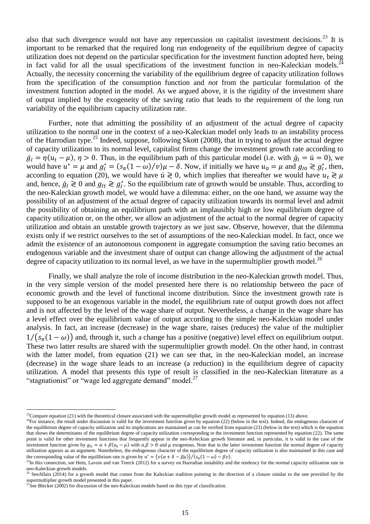also that such divergence would not have any repercussion on capitalist investment decisions.<sup>23</sup> It is important to be remarked that the required long run endogeneity of the equilibrium degree of capacity utilization does not depend on the particular specification for the investment function adopted here, being in fact valid for all the usual specifications of the investment function in neo-Kaleckian models.<sup>24</sup> Actually, the necessity concerning the variability of the equilibrium degree of capacity utilization follows from the specification of the consumption function and *not* from the particular formulation of the investment function adopted in the model. As we argued above, it is the rigidity of the investment share of output implied by the exogeneity of the saving ratio that leads to the requirement of the long run variability of the equilibrium capacity utilization rate.

Further, note that admitting the possibility of an adjustment of the actual degree of capacity utilization to the normal one in the context of a neo-Kaleckian model only leads to an instability process of the Harrodian type.<sup>25</sup> Indeed, suppose, following Skott (2008), that in trying to adjust the actual degree of capacity utilization to its normal level, capitalist firms change the investment growth rate according to  $\dot{g}_I = \eta (u_t - \mu)$ ,  $\eta > 0$ . Thus, in the equilibrium path of this particular model (i.e. with  $\dot{g}_I = \dot{u} = 0$ ), we would have  $u^* = \mu$  and  $g^*_I = (s_{\pi}(1 - \omega)/\nu)\mu - \delta$ . Now, if initially we have  $u_0 = \mu$  and  $g_{I0} \ge g^*_I$ , then, according to equation (20), we would have  $\dot{u} \ge 0$ , which implies that thereafter we would have  $u_t \ge \mu$ and, hence,  $\dot{g}_I \ge 0$  and  $g_{It} \ge g_I^*$ . So the equilibrium rate of growth would be unstable. Thus, according to the neo-Kaleckian growth model, we would have a dilemma: either, on the one hand, we assume way the possibility of an adjustment of the actual degree of capacity utilization towards its normal level and admit the possibility of obtaining an equilibrium path with an implausibly high or low equilibrium degree of capacity utilization or, on the other, we allow an adjustment of the actual to the normal degree of capacity utilization and obtain an unstable growth trajectory as we just saw. Observe, however, that the dilemma exists only if we restrict ourselves to the set of assumptions of the neo-Kaleckian model. In fact, once we admit the existence of an autonomous component in aggregate consumption the saving ratio becomes an endogenous variable and the investment share of output can change allowing the adjustment of the actual degree of capacity utilization to its normal level, as we have in the supermultiplier growth model.<sup>26</sup>

Finally, we shall analyze the role of income distribution in the neo-Kaleckian growth model. Thus, in the very simple version of the model presented here there is no relationship between the pace of economic growth and the level of functional income distribution. Since the investment growth rate is supposed to be an exogenous variable in the model, the equilibrium rate of output growth does not affect and is not affected by the level of the wage share of output. Nevertheless, a change in the wage share has a level effect over the equilibrium value of output according to the simple neo-Kaleckian model under analysis. In fact, an increase (decrease) in the wage share, raises (reduces) the value of the multiplier  $1/ (s<sub>\pi</sub>(1 - \omega))$  and, through it, such a change has a positive (negative) level effect on equilibrium output. These two latter results are shared with the supermultiplier growth model. On the other hand, in contrast with the latter model, from equation (21) we can see that, in the neo-Kaleckian model, an increase (decrease) in the wage share leads to an increase (a reduction) in the equilibrium degree of capacity utilization. A model that presents this type of result is classified in the neo-Kaleckian literature as a "stagnationist" or "wage led aggregate demand" model.<sup>27</sup>

<sup>&</sup>lt;sup>23</sup>Compare equation (21) with the theoretical closure associated with the supermultiplier growth model as represented by equation (13) above.

<sup>&</sup>lt;sup>24</sup>For instance, the result under discussion is valid for the investment function given by equation (22) (below in the text). Indeed, the endogenous character of the equilibrium degree of capacity utilization and its implications are maintained as can be verified from equation (23) (below in the text) which is the equation that shows the determinants of the equilibrium degree of capacity utilization corresponding to the investment function represented by equation (22). The same point is valid for other investment functions that frequently appear in the neo-Keleckian growth literature and, in particular, it is valid in the case of the investment function given by  $g_{tt} = \alpha + \beta (u_t - \mu)$  with  $\alpha, \beta > 0$  and  $\mu$  exogenous, Note that in the latter investment function the normal degree of capacity utilization appears as an argument. Nonetheless, the endogenous character of the equilibrium degree of capacity utilization is also maintained in this case and the corresponding value of the equilibrium rate is given by  $u^* = (v(\alpha + \delta - \beta \mu))/(s_{\pi}(1 - \omega) - \beta v)$ .

 $^{25}$ In this connection, see Hein, Lavoie and van Treeck (2012) for a survey on Harrodian instability and the tendency for the normal capacity utilization rate in neo-Kaleckian growth models.

<sup>&</sup>lt;sup>26</sup> SeeAllain (2014) for a growth model that comes from the Kaleckian tradition pointing in the direction of a closure similar to the one provided by the supermultiplier growth model presented in this paper.

 $^{27}$ See Blecker (2002) for discussion of the neo-Kaleckian models based on this type of classification.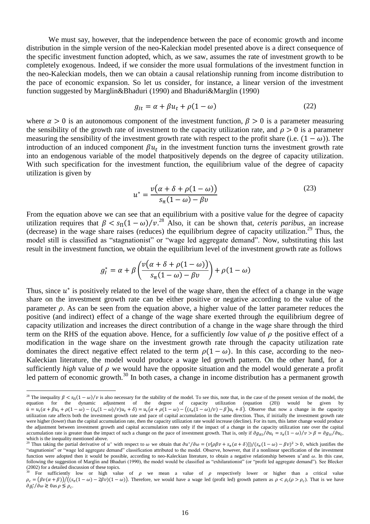We must say, however, that the independence between the pace of economic growth and income distribution in the simple version of the neo-Kaleckian model presented above is a direct consequence of the specific investment function adopted, which, as we saw, assumes the rate of investment growth to be completely exogenous. Indeed, if we consider the more usual formulations of the investment function in the neo-Kaleckian models, then we can obtain a causal relationship running from income distribution to the pace of economic expansion. So let us consider, for instance, a linear version of the investment function suggested by Marglin&Bhaduri (1990) and Bhaduri&Marglin (1990)

$$
g_{lt} = \alpha + \beta u_t + \rho(1 - \omega) \tag{22}
$$

where  $\alpha > 0$  is an autonomous component of the investment function,  $\beta > 0$  is a parameter measuring the sensibility of the growth rate of investment to the capacity utilization rate, and  $\rho > 0$  is a parameter measuring the sensibility of the investment growth rate with respect to the profit share (i.e.  $(1 - \omega)$ ). The introduction of an induced component  $\beta u_t$  in the investment function turns the investment growth rate into an endogenous variable of the model thatpositively depends on the degree of capacity utilization. With such specification for the investment function, the equilibrium value of the degree of capacity utilization is given by

$$
u^* = \frac{v(\alpha + \delta + \rho(1 - \omega))}{s_\pi(1 - \omega) - \beta v}
$$
(23)

From the equation above we can see that an equilibrium with a positive value for the degree of capacity utilization requires that  $\beta < s_{\Pi}(1-\omega)/v^{28}$ . Also, it can be shown that, *ceteris paribus*, an increase (decrease) in the wage share raises (reduces) the equilibrium degree of capacity utilization. <sup>29</sup> Thus, the model still is classified as "stagnationist" or "wage led aggregate demand". Now, substituting this last result in the investment function, we obtain the equilibrium level of the investment growth rate as follows

$$
g_I^* = \alpha + \beta \left( \frac{v(\alpha + \delta + \rho(1 - \omega))}{s_\pi(1 - \omega) - \beta v} \right) + \rho(1 - \omega)
$$

Thus, since  $u^*$  is positively related to the level of the wage share, then the effect of a change in the wage share on the investment growth rate can be either positive or negative according to the value of the parameter  $\rho$ . As can be seen from the equation above, a higher value of the latter parameter reduces the positive (and indirect) effect of a change of the wage share exerted through the equilibrium degree of capacity utilization and increases the direct contribution of a change in the wage share through the third term on the RHS of the equation above. Hence, for a sufficiently *low* value of  $\rho$  the positive effect of a modification in the wage share on the investment growth rate through the capacity utilization rate dominates the direct negative effect related to the term  $\rho(1 - \omega)$ . In this case, according to the neo-Kaleckian literature, the model would produce a wage led growth pattern. On the other hand, for a sufficiently *high* value of  $\rho$  we would have the opposite situation and the model would generate a profit led pattern of economic growth.<sup>30</sup> In both cases, a change in income distribution has a permanent growth

<sup>&</sup>lt;sup>28</sup> The inequality  $\beta < s_{\Pi}(1-\omega)/\nu$  is also necessary for the stability of the model. To see this, note that, in the case of the present version of the model, the equation for the dynamic adjustment of the degree of capacity utilization (equation (20)) would be given by  $\dot{u} = u_t(\alpha + \beta u_t + \rho(1 - \omega) - (s_\pi(1 - \omega)/\nu)u_t + \delta) = u_t(\alpha + \rho(1 - \omega) - ((s_\pi(1 - \omega)/\nu) - \beta)u_t + \delta)$ . Observe that now a change in the capacity utilization rate affects both the investment growth rate and pace of capital accumulation in the same direction. Thus, if initially the investment growth rate were higher (lower) than the capital accumulation rate, then the capacity utilization rate would increase (decline). For its turn, this latter change would produce the adjustment between investment growth and capital accumulation rates only if the impact of a change in the capacity utilization rate over the capital accumulation rate is greater than the impact of such a change on the pace of investment growth. That is, only if  $\frac{\partial g_{kt}}{\partial u_t} = s_{\pi}(1 - \omega)/\nu > \beta = \frac{\partial g_{tt}}{\partial u_t}$ , which is the inequality mentioned above.

<sup>&</sup>lt;sup>29</sup> Thus taking the partial derivative of u<sup>\*</sup> with respect to  $\omega$  we obtain that  $\frac{\partial u^*}{\partial \omega} = \frac{\nu[\rho \beta v + s_\pi(\alpha + \delta)]}{\sqrt{(s_\pi(1 - \omega) - \beta v)^2}} > 0$ , which justifies the "stagnationist" or "wage led aggregate demand" classification attributed to the model. Observe, however, that if a nonlinear specification of the investment function were adopted then it would be possible, according to neo-Kaleckian literature, to obtain a negative relationship between  $u^*$  and  $\omega$ . In this case, following the suggestion of Marglin and Bhaduri (1990), the model would be classified as "exhilarationist" (or "profit led aggregate demand"). See Blecker (2002) for a detailed discussion of these topics.

For sufficiently low or high value of  $\rho$  we mean a value of  $\rho$  respectively lower or higher than a critical value  $\rho_c = (\beta v(\alpha + \beta))/((\varsigma_{\pi}(1 - \omega) - 2\beta v)(1 - \omega))$ . Therefore, we would have a wage led (profit led) growth pattern as  $\rho < \rho_c(\rho > \rho_c)$ . That is we have  $\partial g_l^* / \partial \omega \geq 0$ as  $\rho \leq \rho_c$ .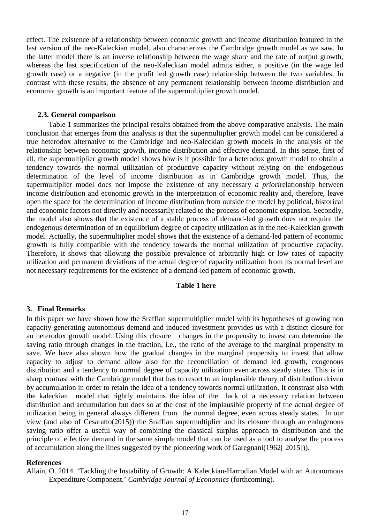effect. The existence of a relationship between economic growth and income distribution featured in the last version of the neo-Kaleckian model, also characterizes the Cambridge growth model as we saw. In the latter model there is an inverse relationship between the wage share and the rate of output growth, whereas the last specification of the neo-Kaleckian model admits either, a positive (in the wage led growth case) or a negative (in the profit led growth case) relationship between the two variables. In contrast with these results, the absence of any permanent relationship between income distribution and economic growth is an important feature of the supermultiplier growth model.

## **2.3. General comparison**

Table 1 summarizes the principal results obtained from the above comparative analysis. The main conclusion that emerges from this analysis is that the supermultiplier growth model can be considered a true heterodox alternative to the Cambridge and neo-Kaleckian growth models in the analysis of the relationship between economic growth, income distribution and effective demand. In this sense, first of all, the supermultiplier growth model shows how is it possible for a heterodox growth model to obtain a tendency towards the normal utilization of productive capacity without relying on the endogenous determination of the level of income distribution as in Cambridge growth model. Thus, the supermultiplier model does not impose the existence of any necessary *a priori*relationship between income distribution and economic growth in the interpretation of economic reality and, therefore, leave open the space for the determination of income distribution from outside the model by political, historical and economic factors not directly and necessarily related to the process of economic expansion. Secondly, the model also shows that the existence of a stable process of demand-led growth does not require the endogenous determination of an equilibrium degree of capacity utilization as in the neo-Kaleckian growth model. Actually, the supermultiplier model shows that the existence of a demand-led pattern of economic growth is fully compatible with the tendency towards the normal utilization of productive capacity. Therefore, it shows that allowing the possible prevalence of arbitrarily high or low rates of capacity utilization and permanent deviations of the actual degree of capacity utilization from its normal level are not necessary requirements for the existence of a demand-led pattern of economic growth.

## **Table 1 here**

## **3. Final Remarks**

In this paper we have shown how the Sraffian supermultiplier model with its hypotheses of growing non capacity generating autonomous demand and induced investment provides us with a distinct closure for an heterodox growth model. Using this closure changes in the propensity to invest can determine the saving ratio through changes in the fraction, i.e., the ratio of the average to the marginal propensity to save. We have also shown how the gradual changes in the marginal propensity to invest that allow capacity to adjust to demand allow also for the reconciliation of demand led growth, exogenous distribution and a tendency to normal degree of capacity utilization even across steady states. This is in sharp contrast with the Cambridge model that has to resort to an implausible theory of distribution driven by accumulation in order to retain the idea of a tendency towards normal utilization. It constrast also with the kaleckian model that rightly maintains the idea of the lack of a necessary relation between distribution and accumulation but does so at the cost of the implausible property of the actual degree of utilization being in general always different from the normal degree, even across steady states. In our view (and also of Cesaratto(2015)) the Sraffian supermultiplier and its closure through an endogenous saving ratio offer a useful way of combining the classical surplus approach to distribution and the principle of effective demand in the same simple model that can be used as a tool to analyse the process of accumulation along the lines suggested by the pioneering work of Garegnani(1962[ 2015])).

### **References**

Allain, O. 2014. 'Tackling the Instability of Growth: A Kaleckian-Harrodian Model with an Autonomous Expenditure Component.' *Cambridge Journal of Economics* (forthcoming).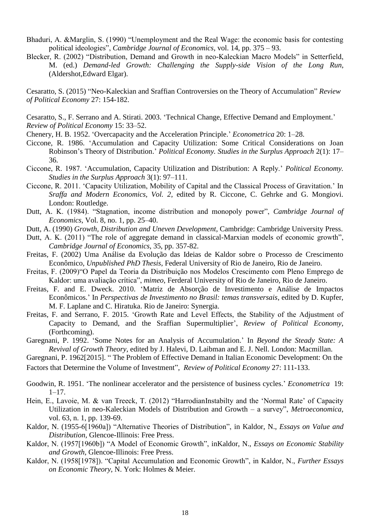- Bhaduri, A. &Marglin, S. (1990) "Unemployment and the Real Wage: the economic basis for contesting political ideologies", *Cambridge Journal of Economics*, vol. 14, pp. 375 – 93.
- Blecker, R. (2002) "Distribution, Demand and Growth in neo-Kaleckian Macro Models" in Setterfield, M. (ed.) *Demand-led Growth: Challenging the Supply-side Vision of the Long Run*, (Aldershot,Edward Elgar)[.](http://www.tandfonline.com/doi/full/10.1080/09538259.2015.1010708#abstract)

[Cesaratto, S. \(2015\) "Neo-Kaleckian and Sraffian Controversies on the Theory of Accumulation"](http://www.tandfonline.com/doi/full/10.1080/09538259.2015.1010708#abstract) *Review [of Political Economy](http://www.tandfonline.com/doi/full/10.1080/09538259.2015.1010708#abstract)* 27: 154-182.

Cesaratto, S., F. Serrano and A. Stirati. 2003. 'Technical Change, Effective Demand and Employment.' *Review of Political Economy* 15: 33–52.

Chenery, H. B. 1952. 'Overcapacity and the Acceleration Principle.' *Econometrica* 20: 1–28.

- Ciccone, R. 1986. 'Accumulation and Capacity Utilization: Some Critical Considerations on Joan Robinson's Theory of Distribution.' *Political Economy. Studies in the Surplus Approach* 2(1): 17– 36.
- Ciccone, R. 1987. 'Accumulation, Capacity Utilization and Distribution: A Reply.' *Political Economy. Studies in the Surplus Approach* 3(1): 97–111.
- Ciccone, R. 2011. 'Capacity Utilization, Mobility of Capital and the Classical Process of Gravitation.' In *Sraffa and Modern Economics, Vol. 2*, edited by R. Ciccone, C. Gehrke and G. Mongiovi. London: Routledge.
- Dutt, A. K. (1984). "Stagnation, income distribution and monopoly power", *Cambridge Journal of Economics*, Vol. 8, no. 1, pp. 25–40.
- Dutt, A. (1990) *Growth, Distribution and Uneven Development*, Cambridge: Cambridge University Press.
- Dutt, A. K. (2011) "The role of aggregate demand in classical-Marxian models of economic growth", *Cambridge Journal of Economics*, 35, pp. 357-82.
- Freitas, F. (2002) Uma Análise da Evolução das Ideias de Kaldor sobre o Processo de Crescimento Econômico, *Unpublished PhD Thesis*, Federal University of Rio de Janeiro, Rio de Janeiro.
- Freitas, F. (2009)"O Papel da Teoria da Distribuição nos Modelos Crescimento com Pleno Emprego de Kaldor: uma avaliação crítica", *mimeo*, Ferderal University of Rio de Janeiro, Rio de Janeiro.
- Freitas, F. and E. Dweck. 2010. 'Matriz de Absorção de Investimento e Análise de Impactos Econômicos.' In *Perspectivas de Investimento no Brasil: temas transversais*, edited by D. Kupfer, M. F. Laplane and C. Hiratuka. Rio de Janeiro: Synergia.
- Freitas, F. and Serrano, F. 2015. 'Growth Rate and Level Effects, the Stability of the Adjustment of Capacity to Demand, and the Sraffian Supermultiplier', *Review of Political Economy*, (Forthcoming).
- Garegnani, P. 1992. 'Some Notes for an Analysis of Accumulation.' In *Beyond the Steady State: A Revival of Growth Theory*, edited by J. Halevi, D. Laibman and E. J. Nell. London: Macmillan.

Garegnani, P. 1962[2015]. " The Problem of Effective Demand in Italian Economic Development: On the Factors that Determine the Volume of Investment", *Review of Political Economy* 27: 111-133.

- Goodwin, R. 1951. 'The nonlinear accelerator and the persistence of business cycles.' *Econometrica* 19:  $1-17.$
- Hein, E., Lavoie, M. & van Treeck, T. (2012) "HarrodianInstabilty and the 'Normal Rate' of Capacity Utilization in neo-Kaleckian Models of Distribution and Growth – a survey", *Metroeconomica*, vol. 63, n. 1, pp. 139-69.
- Kaldor, N. (1955-6[1960a]) "Alternative Theories of Distribution", in Kaldor, N., *Essays on Value and Distribution*, Glencoe-Illinois: Free Press.
- Kaldor, N. (1957[1960b]) "A Model of Economic Growth", inKaldor, N., *Essays on Economic Stability and Growth*, Glencoe-Illinois: Free Press.
- Kaldor, N. (1958[1978]). "Capital Accumulation and Economic Growth", in Kaldor, N., *Further Essays on Economic Theory*, N. York: Holmes & Meier.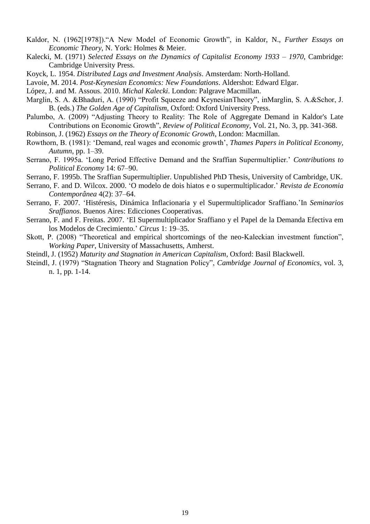- Kaldor, N. (1962[1978])."A New Model of Economic Growth", in Kaldor, N., *Further Essays on Economic Theory*, N. York: Holmes & Meier.
- Kalecki, M. (1971) *Selected Essays on the Dynamics of Capitalist Economy 1933 – 1970*, Cambridge: Cambridge University Press.
- Koyck, L. 1954. *Distributed Lags and Investment Analysis*. Amsterdam: North-Holland.
- Lavoie, M. 2014. *[Post-Keynesian Economics:](http://www.elgaronline.com/view/9781847204837.xml) New Foundations*. Aldershot: Edward Elgar.
- López, J. and M. Assous. 2010. *Michal Kalecki*. London: Palgrave Macmillan.
- Marglin, S. A. &Bhaduri, A. (1990) "Profit Squeeze and KeynesianTheory", inMarglin, S. A.&Schor, J. B. (eds.) *The Golden Age of Capitalism*, Oxford: Oxford University Press.
- Palumbo, A. (2009) "Adjusting Theory to Reality: The Role of Aggregate Demand in Kaldor's Late Contributions on Economic Growth", *Review of Political Economy*, Vol. 21, No. 3, pp. 341-368.
- Robinson, J. (1962) *Essays on the Theory of Economic Growth*, London: Macmillan.
- Rowthorn, B. (1981): 'Demand, real wages and economic growth', *Thames Papers in Political Economy, Autumn*, pp. 1–39.
- Serrano, F. 1995a. 'Long Period Effective Demand and the Sraffian Supermultiplier.' *Contributions to Political Economy* 14: 67–90.
- Serrano, F. 1995b. The Sraffian Supermultiplier. Unpublished PhD Thesis, University of Cambridge, UK.
- Serrano, F. and D. Wilcox. 2000. 'O modelo de dois hiatos e o supermultiplicador.' *Revista de Economia Contemporânea* 4(2): 37–64.
- Serrano, F. 2007. 'Histéresis, Dinámica Inflacionaria y el Supermultiplicador Sraffiano.'In *Seminarios Sraffianos*. Buenos Aires: Edicciones Cooperativas.
- Serrano, F. and F. Freitas. 2007. 'El Supermultiplicador Sraffiano y el Papel de la Demanda Efectiva em los Modelos de Crecimiento.' *Circus* 1: 19–35.
- Skott, P. (2008) "Theoretical and empirical shortcomings of the neo-Kaleckian investment function", *Working Paper*, University of Massachusetts, Amherst.
- Steindl, J. (1952) *Maturity and Stagnation in American Capitalism*, Oxford: Basil Blackwell.
- Steindl, J. (1979) "Stagnation Theory and Stagnation Policy", *Cambridge Journal of Economics*, vol. 3, n. 1, pp. 1-14.